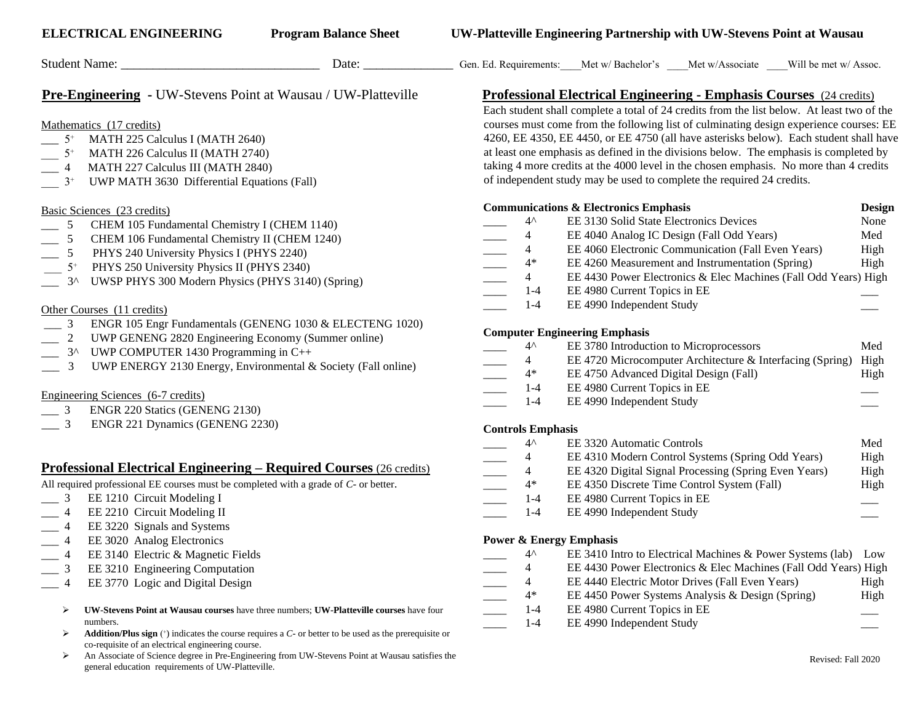|                                                                                                           | Student Name:                                                                                                                                                                                                                                                                               | Date: $\overline{\phantom{a}}$ |                                                                                                                                                                                                                                                                                                                                                                                                                                                                                                                                                                                                                          |                                                 |                                                                                                   | Gen. Ed. Requirements: Met w/ Bachelor's Met w/Associate Will be met w/Assoc.                                                                                                                                                                                     |                                       |  |  |
|-----------------------------------------------------------------------------------------------------------|---------------------------------------------------------------------------------------------------------------------------------------------------------------------------------------------------------------------------------------------------------------------------------------------|--------------------------------|--------------------------------------------------------------------------------------------------------------------------------------------------------------------------------------------------------------------------------------------------------------------------------------------------------------------------------------------------------------------------------------------------------------------------------------------------------------------------------------------------------------------------------------------------------------------------------------------------------------------------|-------------------------------------------------|---------------------------------------------------------------------------------------------------|-------------------------------------------------------------------------------------------------------------------------------------------------------------------------------------------------------------------------------------------------------------------|---------------------------------------|--|--|
|                                                                                                           | <b>Pre-Engineering</b> - UW-Stevens Point at Wausau / UW-Platteville                                                                                                                                                                                                                        |                                |                                                                                                                                                                                                                                                                                                                                                                                                                                                                                                                                                                                                                          |                                                 |                                                                                                   |                                                                                                                                                                                                                                                                   |                                       |  |  |
| $5^+$<br>$5^+$<br>4<br>$3^+$                                                                              | Mathematics (17 credits)<br>MATH 225 Calculus I (MATH 2640)<br>MATH 226 Calculus II (MATH 2740)<br>MATH 227 Calculus III (MATH 2840)<br>UWP MATH 3630 Differential Equations (Fall)                                                                                                         |                                | <b>Professional Electrical Engineering - Emphasis Courses</b> (24 credits)<br>Each student shall complete a total of 24 credits from the list below. At least two of the<br>courses must come from the following list of culminating design experience courses: EE<br>4260, EE 4350, EE 4450, or EE 4750 (all have asterisks below). Each student shall have<br>at least one emphasis as defined in the divisions below. The emphasis is completed by<br>taking 4 more credits at the 4000 level in the chosen emphasis. No more than 4 credits<br>of independent study may be used to complete the required 24 credits. |                                                 |                                                                                                   |                                                                                                                                                                                                                                                                   |                                       |  |  |
|                                                                                                           |                                                                                                                                                                                                                                                                                             |                                |                                                                                                                                                                                                                                                                                                                                                                                                                                                                                                                                                                                                                          |                                                 |                                                                                                   |                                                                                                                                                                                                                                                                   |                                       |  |  |
| 5<br>5<br>$5^+$<br>$3^{\wedge}$                                                                           | Basic Sciences (23 credits)<br>CHEM 105 Fundamental Chemistry I (CHEM 1140)<br>CHEM 106 Fundamental Chemistry II (CHEM 1240)<br>PHYS 240 University Physics I (PHYS 2240)<br>PHYS 250 University Physics II (PHYS 2340)<br>UWSP PHYS 300 Modern Physics (PHYS 3140) (Spring)                |                                |                                                                                                                                                                                                                                                                                                                                                                                                                                                                                                                                                                                                                          | $4^{\wedge}$<br>4<br>4<br>$4*$<br>4             | <b>Communications &amp; Electronics Emphasis</b>                                                  | EE 3130 Solid State Electronics Devices<br>EE 4040 Analog IC Design (Fall Odd Years)<br>EE 4060 Electronic Communication (Fall Even Years)<br>EE 4260 Measurement and Instrumentation (Spring)<br>EE 4430 Power Electronics & Elec Machines (Fall Odd Years) High | Design<br>None<br>Med<br>High<br>High |  |  |
| 3                                                                                                         | Other Courses (11 credits)<br>ENGR 105 Engr Fundamentals (GENENG 1030 & ELECTENG 1020)                                                                                                                                                                                                      |                                |                                                                                                                                                                                                                                                                                                                                                                                                                                                                                                                                                                                                                          | $1-4$<br>$1 - 4$                                | EE 4980 Current Topics in EE<br>EE 4990 Independent Study                                         |                                                                                                                                                                                                                                                                   |                                       |  |  |
| 3                                                                                                         | UWP GENENG 2820 Engineering Economy (Summer online)<br>3^ UWP COMPUTER 1430 Programming in C++<br>UWP ENERGY 2130 Energy, Environmental & Society (Fall online)<br>Engineering Sciences (6-7 credits)                                                                                       |                                |                                                                                                                                                                                                                                                                                                                                                                                                                                                                                                                                                                                                                          | $4^{\wedge}$<br>4<br>$4*$<br>$1 - 4$<br>$1 - 4$ | <b>Computer Engineering Emphasis</b><br>EE 4980 Current Topics in EE<br>EE 4990 Independent Study | EE 3780 Introduction to Microprocessors<br>EE 4720 Microcomputer Architecture & Interfacing (Spring) High<br>EE 4750 Advanced Digital Design (Fall)                                                                                                               | Med<br>High                           |  |  |
| $\equiv$ 3<br>$-3$                                                                                        | ENGR 220 Statics (GENENG 2130)<br>ENGR 221 Dynamics (GENENG 2230)                                                                                                                                                                                                                           |                                | <b>Controls Emphasis</b>                                                                                                                                                                                                                                                                                                                                                                                                                                                                                                                                                                                                 | $4^{\wedge}$                                    | EE 3320 Automatic Controls                                                                        |                                                                                                                                                                                                                                                                   | Med                                   |  |  |
| 4                                                                                                         | <u> Professional Electrical Engineering – Required Courses (26 credits)</u><br>All required professional EE courses must be completed with a grade of C- or better.<br>EE 1210 Circuit Modeling I<br>EE 2210 Circuit Modeling II                                                            |                                |                                                                                                                                                                                                                                                                                                                                                                                                                                                                                                                                                                                                                          | 4<br>4<br>$4*$<br>$1 - 4$<br>$1 - 4$            | EE 4980 Current Topics in EE<br>EE 4990 Independent Study                                         | EE 4310 Modern Control Systems (Spring Odd Years)<br>EE 4320 Digital Signal Processing (Spring Even Years)<br>EE 4350 Discrete Time Control System (Fall)                                                                                                         | High<br>High<br>High                  |  |  |
| EE 3220 Signals and Systems<br>4<br>EE 3020 Analog Electronics<br><b>Power &amp; Energy Emphasis</b><br>4 |                                                                                                                                                                                                                                                                                             |                                |                                                                                                                                                                                                                                                                                                                                                                                                                                                                                                                                                                                                                          |                                                 |                                                                                                   |                                                                                                                                                                                                                                                                   |                                       |  |  |
| 4                                                                                                         | EE 3140 Electric & Magnetic Fields<br>EE 3210 Engineering Computation<br>EE 3770 Logic and Digital Design                                                                                                                                                                                   |                                |                                                                                                                                                                                                                                                                                                                                                                                                                                                                                                                                                                                                                          | $4^{\wedge}$<br>$\overline{4}$<br>4<br>$4*$     |                                                                                                   | EE 3410 Intro to Electrical Machines & Power Systems (lab) Low<br>EE 4430 Power Electronics & Elec Machines (Fall Odd Years) High<br>EE 4440 Electric Motor Drives (Fall Even Years)<br>EE 4450 Power Systems Analysis & Design (Spring)                          | High<br>High                          |  |  |
| ⋗<br>➤                                                                                                    | <b>UW-Stevens Point at Wausau courses</b> have three numbers; <b>UW-Platteville courses</b> have four<br>numbers.<br><b>Addition/Plus sign</b> $(+)$ indicates the course requires a $C$ - or better to be used as the prerequisite or<br>co-requisite of an electrical engineering course. |                                |                                                                                                                                                                                                                                                                                                                                                                                                                                                                                                                                                                                                                          | $1 - 4$<br>$1 - 4$                              | EE 4980 Current Topics in EE<br>EE 4990 Independent Study                                         |                                                                                                                                                                                                                                                                   |                                       |  |  |
| ➤                                                                                                         | An Associate of Science degree in Pre-Engineering from UW-Stevens Point at Wausau satisfies the<br>general education requirements of UW-Platteville.                                                                                                                                        |                                |                                                                                                                                                                                                                                                                                                                                                                                                                                                                                                                                                                                                                          |                                                 |                                                                                                   |                                                                                                                                                                                                                                                                   | Revised: Fall 2020                    |  |  |

**ELECTRICAL ENGINEERING Program Balance Sheet UW-Platteville Engineering Partnership with UW-Stevens Point at Wausau**